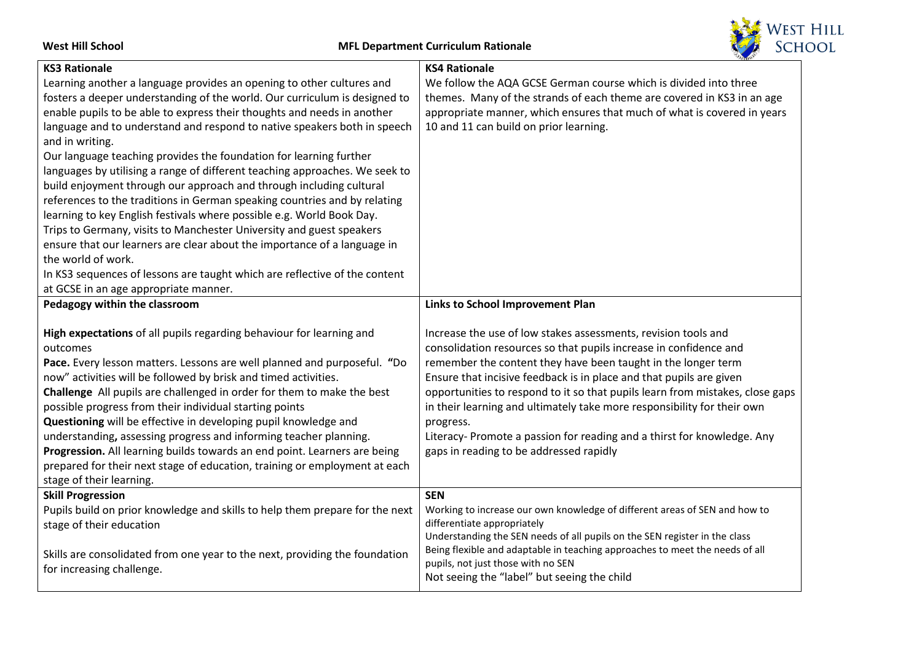**West Hill School MFL Department Curriculum Rationale KS3 Rationale** Learning another a language provides an opening to other cultures and fosters a deeper understanding of the world. Our curriculum is designed to enable pupils to be able to express their thoughts and needs in another language and to understand and respond to native speakers both in speech and in writing. Our language teaching provides the foundation for learning further **KS4 Rationale**

languages by utilising a range of different teaching approaches. We seek to build enjoyment through our approach and through including cultural references to the traditions in German speaking countries and by relating learning to key English festivals where possible e.g. World Book Day. Trips to Germany, visits to Manchester University and guest speakers ensure that our learners are clear about the importance of a language in the world of work.

In KS3 sequences of lessons are taught which are reflective of the content at GCSE in an age appropriate manner.

**Pedagogy within the classroom High expectations** of all pupils regarding behaviour for learning and outcomes **Pace.** Every lesson matters. Lessons are well planned and purposeful. **"**Do now" activities will be followed by brisk and timed activities. **Challenge** All pupils are challenged in order for them to make the best possible progress from their individual starting points **Questioning** will be effective in developing pupil knowledge and understanding**,** assessing progress and informing teacher planning. **Progression.** All learning builds towards an end point. Learners are being prepared for their next stage of education, training or employment at each stage of their learning. **Links to School Improvement Plan** Increase the use of low stakes assessments, revision tools and consolidation resources so that pupils increase in confidence and remember the content they have been taught in the longer term Ensure that incisive feedback is in place and that pupils are given opportunities to respond to it so that pupils learn from mistakes, close gaps in their learning and ultimately take more responsibility for their own progress. Literacy- Promote a passion for reading and a thirst for knowledge. Any gaps in reading to be addressed rapidly **Skill Progression** Pupils build on prior knowledge and skills to help them prepare for the next stage of their education **SEN** Working to increase our own knowledge of different areas of SEN and how to differentiate appropriately

Skills are consolidated from one year to the next, providing the foundation for increasing challenge.



| טווטווטוואז דשו                                                         |  |  |
|-------------------------------------------------------------------------|--|--|
| We follow the AQA GCSE German course which is divided into three        |  |  |
| themes. Many of the strands of each theme are covered in KS3 in an age  |  |  |
| appropriate manner, which ensures that much of what is covered in years |  |  |
| 10 and 11 can build on prior learning.                                  |  |  |

Understanding the SEN needs of all pupils on the SEN register in the class Being flexible and adaptable in teaching approaches to meet the needs of all

pupils, not just those with no SEN

Not seeing the "label" but seeing the child